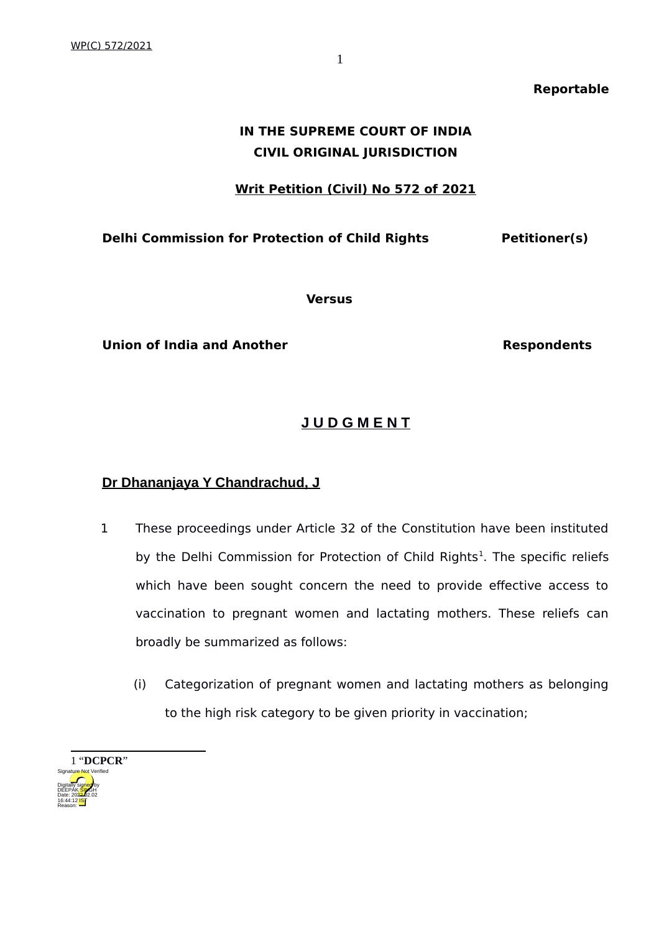### **Reportable**

# **IN THE SUPREME COURT OF INDIA CIVIL ORIGINAL JURISDICTION**

## **Writ Petition (Civil) No 572 of 2021**

## **Delhi Commission for Protection of Child Rights Petitioner(s)**

**Versus**

**Union of India and Another Respondents** 

## **J U D G M E N T**

## **Dr Dhananjaya Y Chandrachud, J**

- 1 These proceedings under Article 32 of the Constitution have been instituted by the Delhi Commission for Protection of Child Rights<sup>[1](#page-0-0)</sup>. The specific reliefs which have been sought concern the need to provide effective access to vaccination to pregnant women and lactating mothers. These reliefs can broadly be summarized as follows:
	- (i) Categorization of pregnant women and lactating mothers as belonging to the high risk category to be given priority in vaccination;

<span id="page-0-0"></span>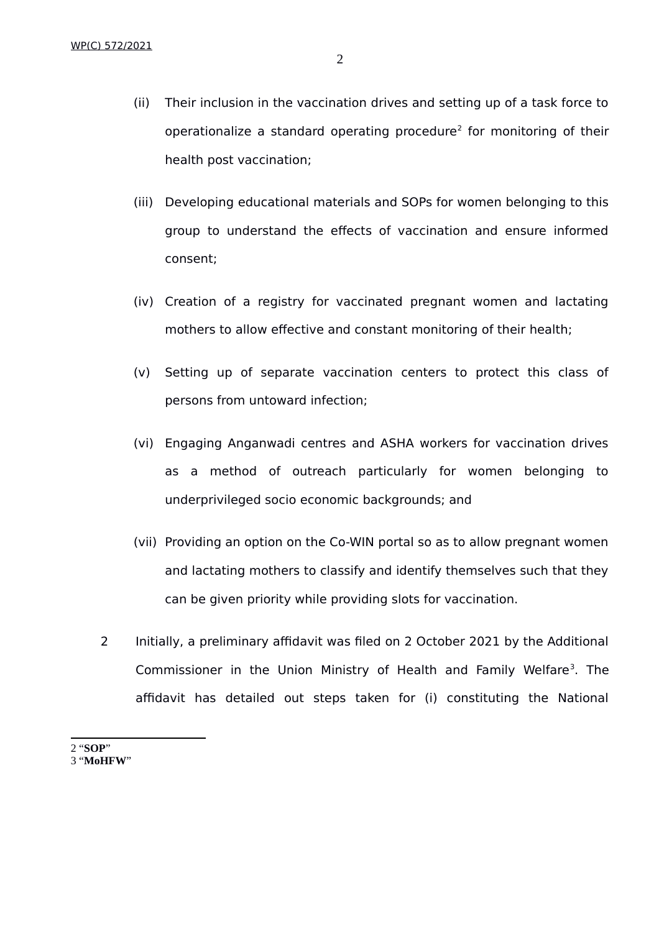- (ii) Their inclusion in the vaccination drives and setting up of a task force to operationalize a standard operating procedure<sup>[2](#page-1-0)</sup> for monitoring of their health post vaccination;
- (iii) Developing educational materials and SOPs for women belonging to this group to understand the effects of vaccination and ensure informed consent;
- (iv) Creation of a registry for vaccinated pregnant women and lactating mothers to allow effective and constant monitoring of their health;
- (v) Setting up of separate vaccination centers to protect this class of persons from untoward infection;
- (vi) Engaging Anganwadi centres and ASHA workers for vaccination drives as a method of outreach particularly for women belonging to underprivileged socio economic backgrounds; and
- (vii) Providing an option on the Co-WIN portal so as to allow pregnant women and lactating mothers to classify and identify themselves such that they can be given priority while providing slots for vaccination.
- 2 Initially, a preliminary affidavit was filed on 2 October 2021 by the Additional Commissioner in the Union Ministry of Health and Family Welfare<sup>[3](#page-1-1)</sup>. The affidavit has detailed out steps taken for (i) constituting the National

<span id="page-1-0"></span>2 "**SOP**"

<span id="page-1-1"></span>3 "**MoHFW**"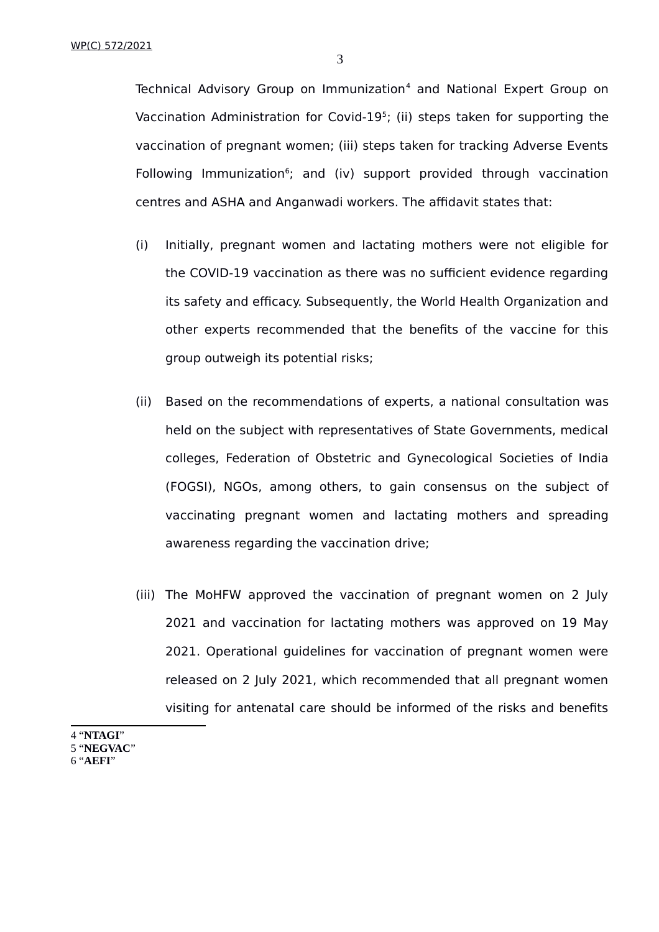Technical Advisory Group on Immunization<sup>[4](#page-2-0)</sup> and National Expert Group on Vaccination Administration for Covid-19<sup>[5](#page-2-1)</sup>; (ii) steps taken for supporting the vaccination of pregnant women; (iii) steps taken for tracking Adverse Events Following Immunization<sup>[6](#page-2-2)</sup>; and (iv) support provided through vaccination centres and ASHA and Anganwadi workers. The affidavit states that:

- (i) Initially, pregnant women and lactating mothers were not eligible for the COVID-19 vaccination as there was no sufficient evidence regarding its safety and efficacy. Subsequently, the World Health Organization and other experts recommended that the benefits of the vaccine for this group outweigh its potential risks;
- (ii) Based on the recommendations of experts, a national consultation was held on the subject with representatives of State Governments, medical colleges, Federation of Obstetric and Gynecological Societies of India (FOGSI), NGOs, among others, to gain consensus on the subject of vaccinating pregnant women and lactating mothers and spreading awareness regarding the vaccination drive;
- (iii) The MoHFW approved the vaccination of pregnant women on 2 July 2021 and vaccination for lactating mothers was approved on 19 May 2021. Operational guidelines for vaccination of pregnant women were released on 2 July 2021, which recommended that all pregnant women visiting for antenatal care should be informed of the risks and benefits
- <span id="page-2-2"></span><span id="page-2-1"></span><span id="page-2-0"></span>4 "**NTAGI**" 5 "**NEGVAC**" 6 "**AEFI**"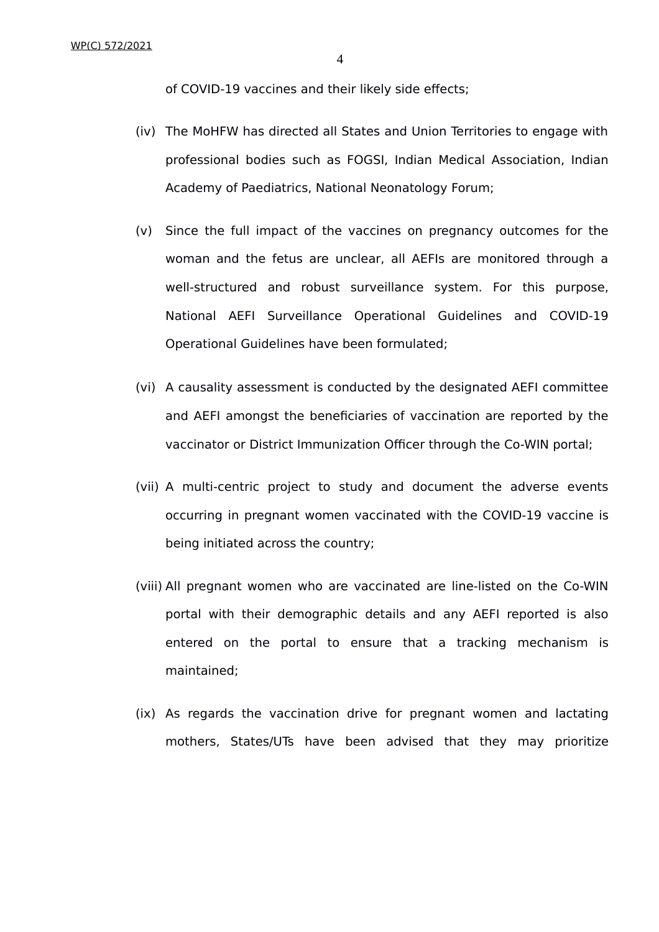of COVID-19 vaccines and their likely side effects;

- (iv) The MoHFW has directed all States and Union Territories to engage with professional bodies such as FOGSI, Indian Medical Association, Indian Academy of Paediatrics, National Neonatology Forum;
- (v) Since the full impact of the vaccines on pregnancy outcomes for the woman and the fetus are unclear, all AEFIs are monitored through a well-structured and robust surveillance system. For this purpose, National AEFI Surveillance Operational Guidelines and COVID-19 Operational Guidelines have been formulated;
- (vi) A causality assessment is conducted by the designated AEFI committee and AEFI amongst the beneficiaries of vaccination are reported by the vaccinator or District Immunization Officer through the Co-WIN portal;
- (vii) A multi-centric project to study and document the adverse events occurring in pregnant women vaccinated with the COVID-19 vaccine is being initiated across the country;
- (viii) All pregnant women who are vaccinated are line-listed on the Co-WIN portal with their demographic details and any AEFI reported is also entered on the portal to ensure that a tracking mechanism is maintained;
- (ix) As regards the vaccination drive for pregnant women and lactating mothers, States/UTs have been advised that they may prioritize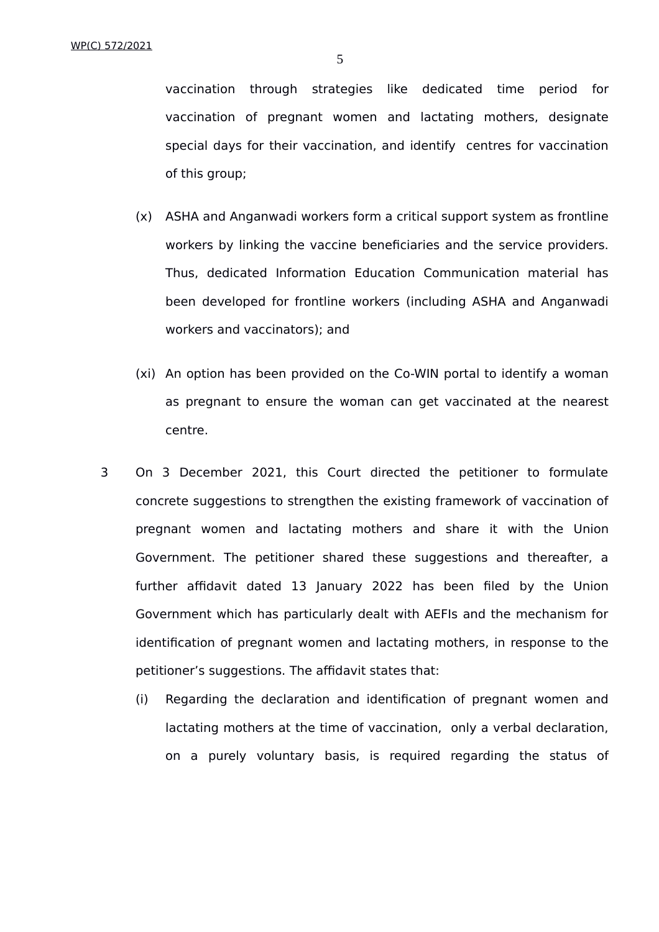vaccination through strategies like dedicated time period for vaccination of pregnant women and lactating mothers, designate special days for their vaccination, and identify centres for vaccination of this group;

- (x) ASHA and Anganwadi workers form a critical support system as frontline workers by linking the vaccine beneficiaries and the service providers. Thus, dedicated Information Education Communication material has been developed for frontline workers (including ASHA and Anganwadi workers and vaccinators); and
- (xi) An option has been provided on the Co-WIN portal to identify a woman as pregnant to ensure the woman can get vaccinated at the nearest centre.
- 3 On 3 December 2021, this Court directed the petitioner to formulate concrete suggestions to strengthen the existing framework of vaccination of pregnant women and lactating mothers and share it with the Union Government. The petitioner shared these suggestions and thereafter, a further affidavit dated 13 January 2022 has been filed by the Union Government which has particularly dealt with AEFIs and the mechanism for identification of pregnant women and lactating mothers, in response to the petitioner's suggestions. The affidavit states that:
	- (i) Regarding the declaration and identification of pregnant women and lactating mothers at the time of vaccination, only a verbal declaration, on a purely voluntary basis, is required regarding the status of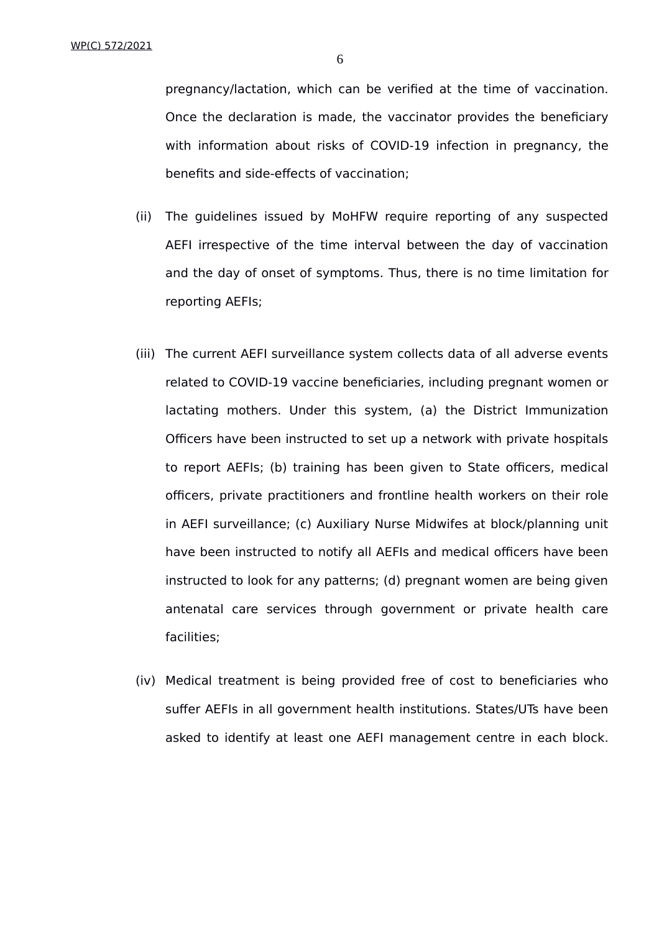pregnancy/lactation, which can be verified at the time of vaccination. Once the declaration is made, the vaccinator provides the beneficiary with information about risks of COVID-19 infection in pregnancy, the benefits and side-effects of vaccination;

- (ii) The guidelines issued by MoHFW require reporting of any suspected AEFI irrespective of the time interval between the day of vaccination and the day of onset of symptoms. Thus, there is no time limitation for reporting AEFIs;
- (iii) The current AEFI surveillance system collects data of all adverse events related to COVID-19 vaccine beneficiaries, including pregnant women or lactating mothers. Under this system, (a) the District Immunization Officers have been instructed to set up a network with private hospitals to report AEFIs; (b) training has been given to State officers, medical officers, private practitioners and frontline health workers on their role in AEFI surveillance; (c) Auxiliary Nurse Midwifes at block/planning unit have been instructed to notify all AEFIs and medical officers have been instructed to look for any patterns; (d) pregnant women are being given antenatal care services through government or private health care facilities;
- (iv) Medical treatment is being provided free of cost to beneficiaries who suffer AEFIs in all government health institutions. States/UTs have been asked to identify at least one AEFI management centre in each block.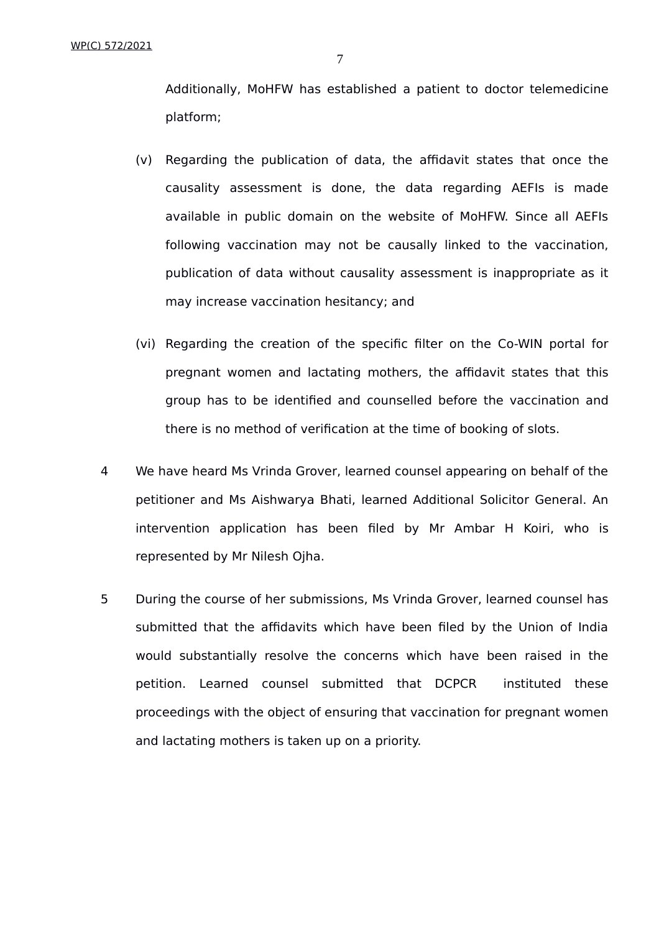Additionally, MoHFW has established a patient to doctor telemedicine platform;

- (v) Regarding the publication of data, the affidavit states that once the causality assessment is done, the data regarding AEFIs is made available in public domain on the website of MoHFW. Since all AEFIs following vaccination may not be causally linked to the vaccination, publication of data without causality assessment is inappropriate as it may increase vaccination hesitancy; and
- (vi) Regarding the creation of the specific filter on the Co-WIN portal for pregnant women and lactating mothers, the affidavit states that this group has to be identified and counselled before the vaccination and there is no method of verification at the time of booking of slots.
- 4 We have heard Ms Vrinda Grover, learned counsel appearing on behalf of the petitioner and Ms Aishwarya Bhati, learned Additional Solicitor General. An intervention application has been filed by Mr Ambar H Koiri, who is represented by Mr Nilesh Ojha.
- 5 During the course of her submissions, Ms Vrinda Grover, learned counsel has submitted that the affidavits which have been filed by the Union of India would substantially resolve the concerns which have been raised in the petition. Learned counsel submitted that DCPCR instituted these proceedings with the object of ensuring that vaccination for pregnant women and lactating mothers is taken up on a priority.

7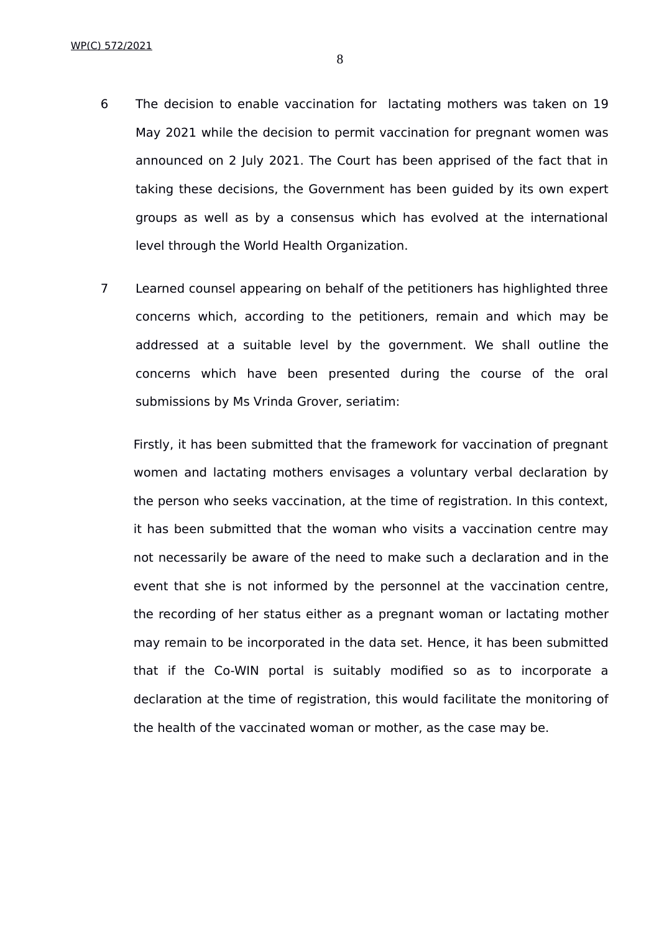6 The decision to enable vaccination for lactating mothers was taken on 19 May 2021 while the decision to permit vaccination for pregnant women was announced on 2 July 2021. The Court has been apprised of the fact that in taking these decisions, the Government has been guided by its own expert groups as well as by a consensus which has evolved at the international

level through the World Health Organization.

7 Learned counsel appearing on behalf of the petitioners has highlighted three concerns which, according to the petitioners, remain and which may be addressed at a suitable level by the government. We shall outline the concerns which have been presented during the course of the oral submissions by Ms Vrinda Grover, seriatim:

Firstly, it has been submitted that the framework for vaccination of pregnant women and lactating mothers envisages a voluntary verbal declaration by the person who seeks vaccination, at the time of registration. In this context, it has been submitted that the woman who visits a vaccination centre may not necessarily be aware of the need to make such a declaration and in the event that she is not informed by the personnel at the vaccination centre, the recording of her status either as a pregnant woman or lactating mother may remain to be incorporated in the data set. Hence, it has been submitted that if the Co-WIN portal is suitably modified so as to incorporate a declaration at the time of registration, this would facilitate the monitoring of the health of the vaccinated woman or mother, as the case may be.

8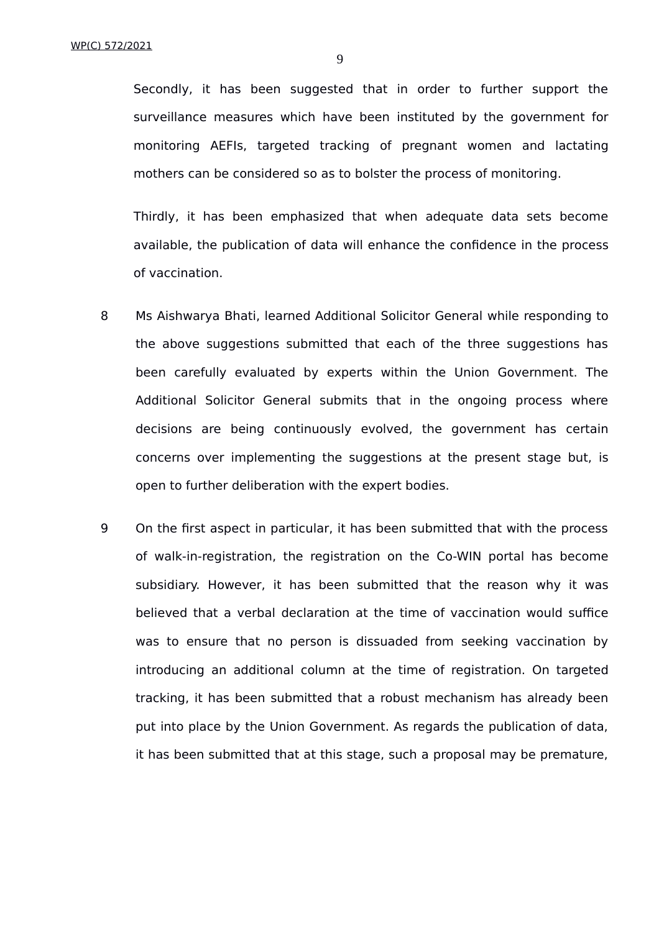Secondly, it has been suggested that in order to further support the surveillance measures which have been instituted by the government for monitoring AEFIs, targeted tracking of pregnant women and lactating mothers can be considered so as to bolster the process of monitoring.

Thirdly, it has been emphasized that when adequate data sets become available, the publication of data will enhance the confidence in the process of vaccination.

- 8 Ms Aishwarya Bhati, learned Additional Solicitor General while responding to the above suggestions submitted that each of the three suggestions has been carefully evaluated by experts within the Union Government. The Additional Solicitor General submits that in the ongoing process where decisions are being continuously evolved, the government has certain concerns over implementing the suggestions at the present stage but, is open to further deliberation with the expert bodies.
- 9 On the first aspect in particular, it has been submitted that with the process of walk-in-registration, the registration on the Co-WIN portal has become subsidiary. However, it has been submitted that the reason why it was believed that a verbal declaration at the time of vaccination would suffice was to ensure that no person is dissuaded from seeking vaccination by introducing an additional column at the time of registration. On targeted tracking, it has been submitted that a robust mechanism has already been put into place by the Union Government. As regards the publication of data, it has been submitted that at this stage, such a proposal may be premature,

9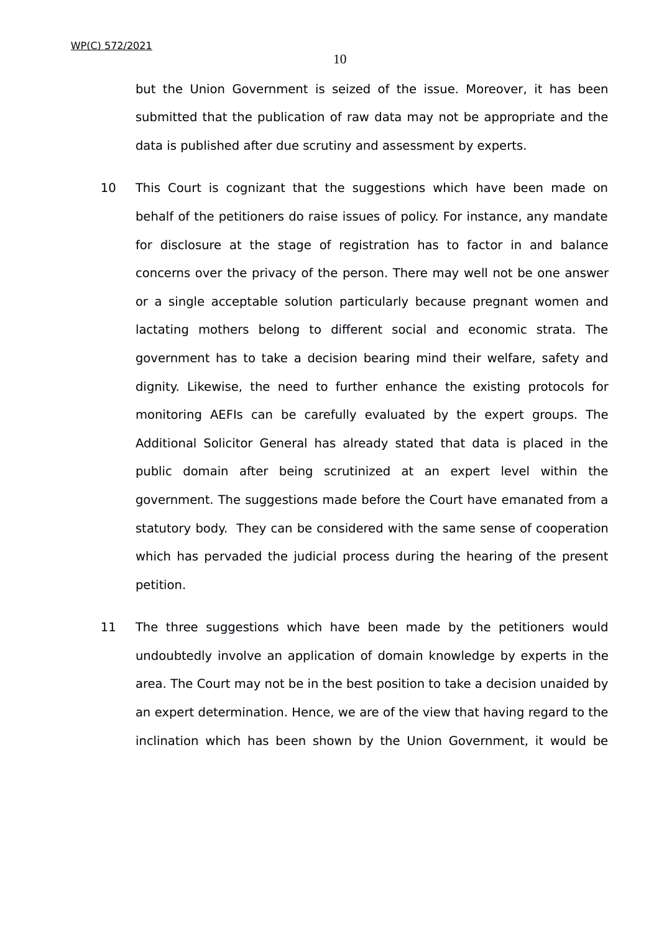10

but the Union Government is seized of the issue. Moreover, it has been submitted that the publication of raw data may not be appropriate and the data is published after due scrutiny and assessment by experts.

- 10 This Court is cognizant that the suggestions which have been made on behalf of the petitioners do raise issues of policy. For instance, any mandate for disclosure at the stage of registration has to factor in and balance concerns over the privacy of the person. There may well not be one answer or a single acceptable solution particularly because pregnant women and lactating mothers belong to different social and economic strata. The government has to take a decision bearing mind their welfare, safety and dignity. Likewise, the need to further enhance the existing protocols for monitoring AEFIs can be carefully evaluated by the expert groups. The Additional Solicitor General has already stated that data is placed in the public domain after being scrutinized at an expert level within the government. The suggestions made before the Court have emanated from a statutory body. They can be considered with the same sense of cooperation which has pervaded the judicial process during the hearing of the present petition.
- 11 The three suggestions which have been made by the petitioners would undoubtedly involve an application of domain knowledge by experts in the area. The Court may not be in the best position to take a decision unaided by an expert determination. Hence, we are of the view that having regard to the inclination which has been shown by the Union Government, it would be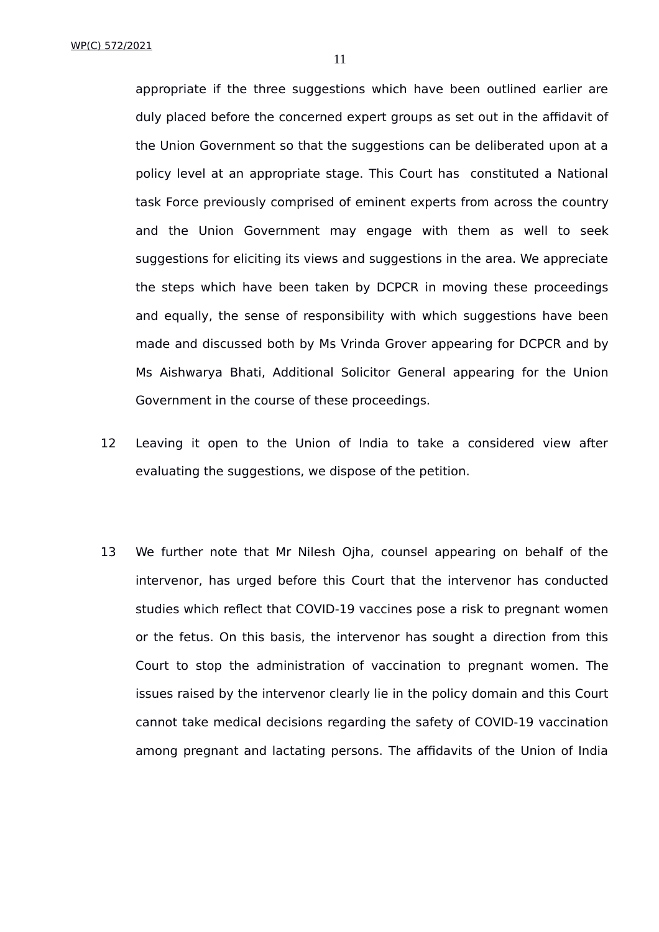appropriate if the three suggestions which have been outlined earlier are duly placed before the concerned expert groups as set out in the affidavit of the Union Government so that the suggestions can be deliberated upon at a policy level at an appropriate stage. This Court has constituted a National task Force previously comprised of eminent experts from across the country and the Union Government may engage with them as well to seek suggestions for eliciting its views and suggestions in the area. We appreciate the steps which have been taken by DCPCR in moving these proceedings and equally, the sense of responsibility with which suggestions have been made and discussed both by Ms Vrinda Grover appearing for DCPCR and by Ms Aishwarya Bhati, Additional Solicitor General appearing for the Union Government in the course of these proceedings.

- 12 Leaving it open to the Union of India to take a considered view after evaluating the suggestions, we dispose of the petition.
- 13 We further note that Mr Nilesh Ojha, counsel appearing on behalf of the intervenor, has urged before this Court that the intervenor has conducted studies which reflect that COVID-19 vaccines pose a risk to pregnant women or the fetus. On this basis, the intervenor has sought a direction from this Court to stop the administration of vaccination to pregnant women. The issues raised by the intervenor clearly lie in the policy domain and this Court cannot take medical decisions regarding the safety of COVID-19 vaccination among pregnant and lactating persons. The affidavits of the Union of India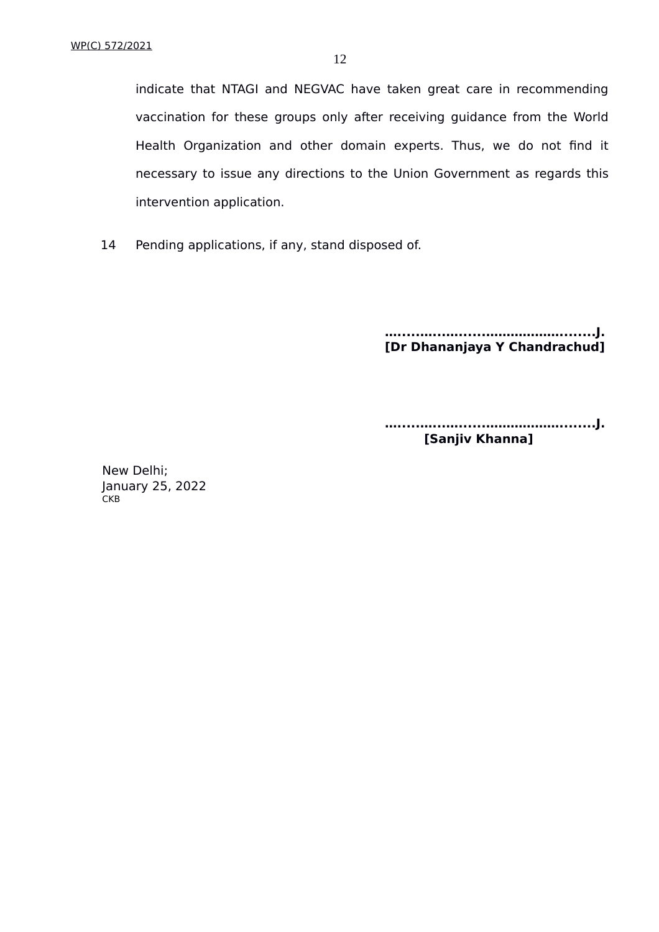intervention application.

14 Pending applications, if any, stand disposed of.

**….....…...…......………………........J. [Dr Dhananjaya Y Chandrachud]**

**….....…...…......………………........J. [Sanjiv Khanna]**

New Delhi; January 25, 2022 CKB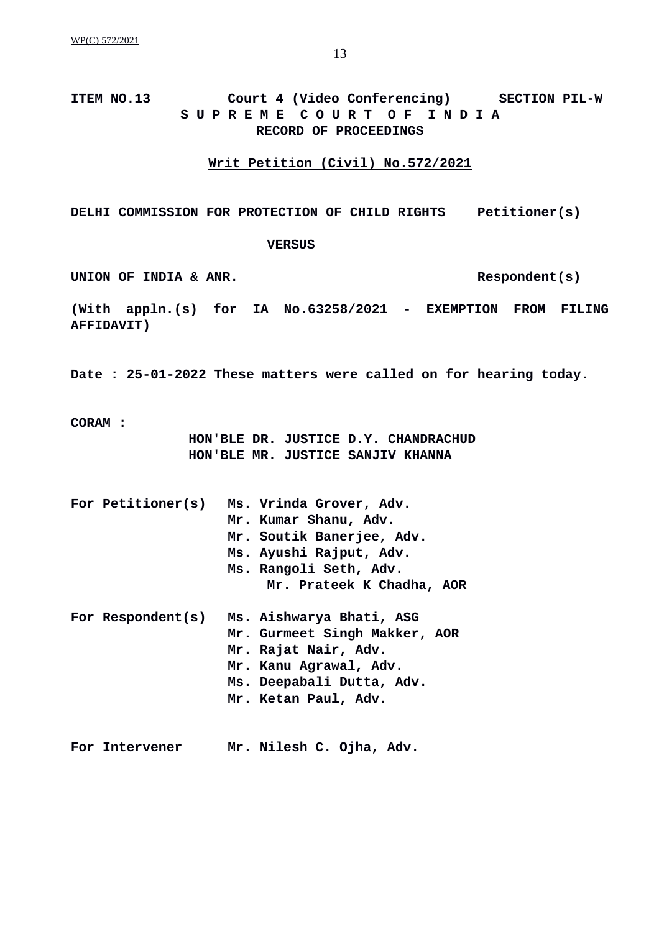**ITEM NO.13 Court 4 (Video Conferencing) SECTION PIL-W S U P R E M E C O U R T O F I N D I A RECORD OF PROCEEDINGS**

**Writ Petition (Civil) No.572/2021**

**DELHI COMMISSION FOR PROTECTION OF CHILD RIGHTS Petitioner(s)**

#### **VERSUS**

UNION OF INDIA & ANR.

**(With appln.(s) for IA No.63258/2021 - EXEMPTION FROM FILING AFFIDAVIT)**

**Date : 25-01-2022 These matters were called on for hearing today.**

**CORAM :**

**HON'BLE DR. JUSTICE D.Y. CHANDRACHUD HON'BLE MR. JUSTICE SANJIV KHANNA**

| For Petitioner(s) | Ms. Vrinda Grover, Adv.       |
|-------------------|-------------------------------|
|                   | Mr. Kumar Shanu, Adv.         |
|                   | Mr. Soutik Banerjee, Adv.     |
|                   | Ms. Ayushi Rajput, Adv.       |
|                   | Ms. Rangoli Seth, Adv.        |
|                   | Mr. Prateek K Chadha, AOR     |
| For Respondent(s) | Ms. Aishwarya Bhati, ASG      |
|                   | Mr. Gurmeet Singh Makker, AOR |
|                   | Mr. Rajat Nair, Adv.          |
|                   | Mr. Kanu Agrawal, Adv.        |
|                   | Ms. Deepabali Dutta, Adv.     |
|                   |                               |
|                   | Mr. Ketan Paul, Adv.          |
|                   |                               |

**For Intervener Mr. Nilesh C. Ojha, Adv.**